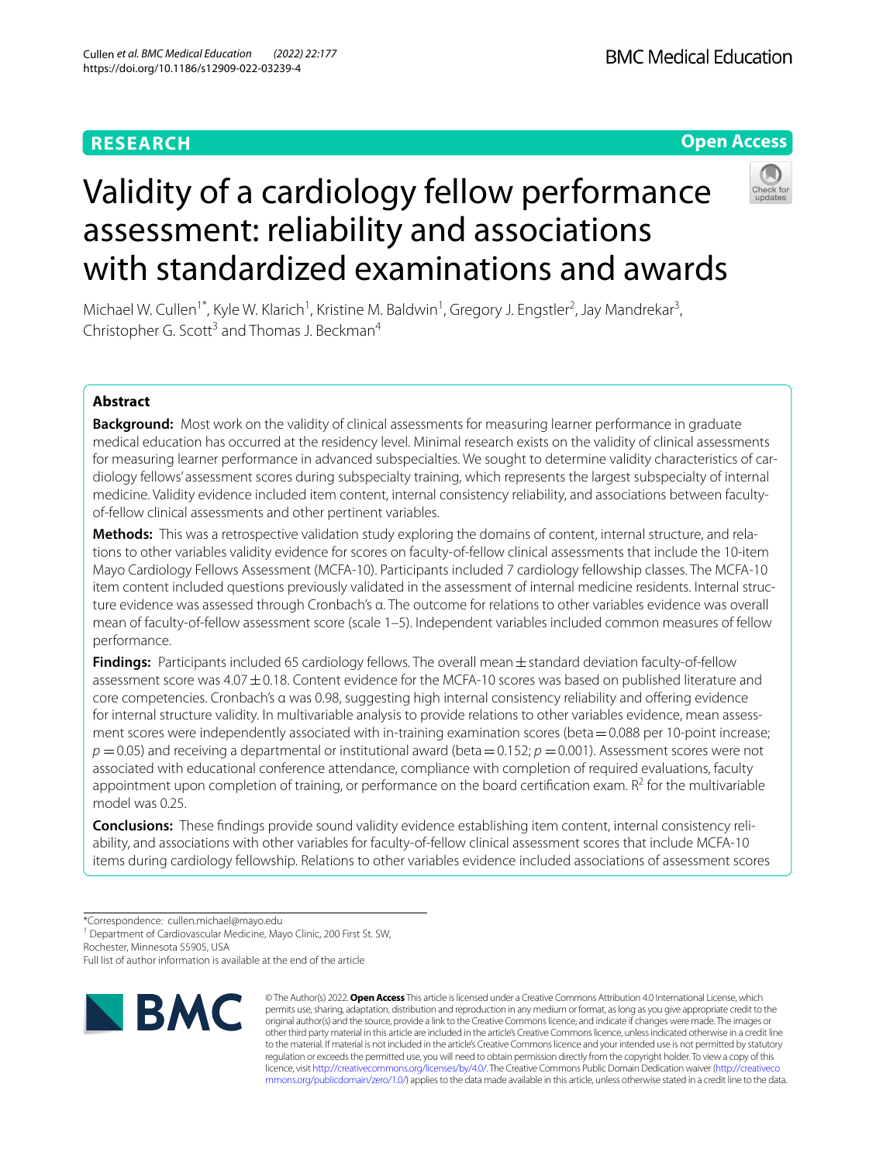## **RESEARCH**

**BMC Medical Education** 

**Open Access**

# Validity of a cardiology fellow performance assessment: reliability and associations with standardized examinations and awards



Michael W. Cullen<sup>1\*</sup>, Kyle W. Klarich<sup>1</sup>, Kristine M. Baldwin<sup>1</sup>, Gregory J. Engstler<sup>2</sup>, Jay Mandrekar<sup>3</sup>, Christopher G. Scott<sup>3</sup> and Thomas J. Beckman<sup>4</sup>

## **Abstract**

**Background:** Most work on the validity of clinical assessments for measuring learner performance in graduate medical education has occurred at the residency level. Minimal research exists on the validity of clinical assessments for measuring learner performance in advanced subspecialties. We sought to determine validity characteristics of cardiology fellows' assessment scores during subspecialty training, which represents the largest subspecialty of internal medicine. Validity evidence included item content, internal consistency reliability, and associations between facultyof-fellow clinical assessments and other pertinent variables.

**Methods:** This was a retrospective validation study exploring the domains of content, internal structure, and relations to other variables validity evidence for scores on faculty-of-fellow clinical assessments that include the 10-item Mayo Cardiology Fellows Assessment (MCFA-10). Participants included 7 cardiology fellowship classes. The MCFA-10 item content included questions previously validated in the assessment of internal medicine residents. Internal structure evidence was assessed through Cronbach's α. The outcome for relations to other variables evidence was overall mean of faculty-of-fellow assessment score (scale 1–5). Independent variables included common measures of fellow performance.

**Findings:** Participants included 65 cardiology fellows. The overall mean  $\pm$  standard deviation faculty-of-fellow assessment score was 4.07  $\pm$  0.18. Content evidence for the MCFA-10 scores was based on published literature and core competencies. Cronbach's α was 0.98, suggesting high internal consistency reliability and ofering evidence for internal structure validity. In multivariable analysis to provide relations to other variables evidence, mean assessment scores were independently associated with in-training examination scores (beta = 0.088 per 10-point increase;  $p = 0.05$ ) and receiving a departmental or institutional award (beta  $= 0.152$ ;  $p = 0.001$ ). Assessment scores were not associated with educational conference attendance, compliance with completion of required evaluations, faculty appointment upon completion of training, or performance on the board certification exam.  $R^2$  for the multivariable model was 0.25.

**Conclusions:** These fndings provide sound validity evidence establishing item content, internal consistency reliability, and associations with other variables for faculty-of-fellow clinical assessment scores that include MCFA-10 items during cardiology fellowship. Relations to other variables evidence included associations of assessment scores

\*Correspondence: cullen.michael@mayo.edu

<sup>1</sup> Department of Cardiovascular Medicine, Mayo Clinic, 200 First St. SW,

Rochester, Minnesota 55905, USA

Full list of author information is available at the end of the article



© The Author(s) 2022. **Open Access** This article is licensed under a Creative Commons Attribution 4.0 International License, which permits use, sharing, adaptation, distribution and reproduction in any medium or format, as long as you give appropriate credit to the original author(s) and the source, provide a link to the Creative Commons licence, and indicate if changes were made. The images or other third party material in this article are included in the article's Creative Commons licence, unless indicated otherwise in a credit line to the material. If material is not included in the article's Creative Commons licence and your intended use is not permitted by statutory regulation or exceeds the permitted use, you will need to obtain permission directly from the copyright holder. To view a copy of this licence, visit [http://creativecommons.org/licenses/by/4.0/.](http://creativecommons.org/licenses/by/4.0/) The Creative Commons Public Domain Dedication waiver ([http://creativeco](http://creativecommons.org/publicdomain/zero/1.0/) [mmons.org/publicdomain/zero/1.0/](http://creativecommons.org/publicdomain/zero/1.0/)) applies to the data made available in this article, unless otherwise stated in a credit line to the data.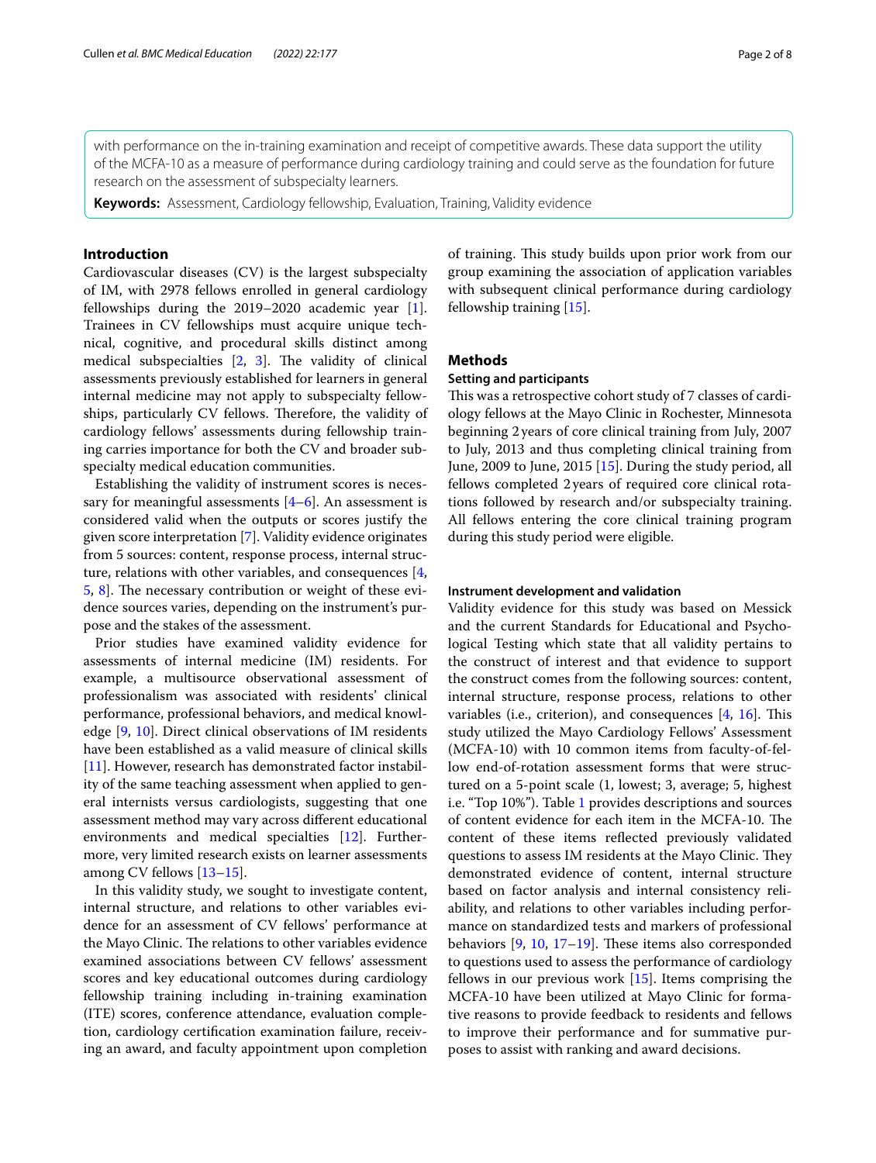with performance on the in-training examination and receipt of competitive awards. These data support the utility of the MCFA-10 as a measure of performance during cardiology training and could serve as the foundation for future research on the assessment of subspecialty learners.

**Keywords:** Assessment, Cardiology fellowship, Evaluation, Training, Validity evidence

## **Introduction**

Cardiovascular diseases (CV) is the largest subspecialty of IM, with 2978 fellows enrolled in general cardiology fellowships during the 2019–2020 academic year [\[1](#page-6-0)]. Trainees in CV fellowships must acquire unique technical, cognitive, and procedural skills distinct among medical subspecialties  $[2, 3]$  $[2, 3]$  $[2, 3]$  $[2, 3]$ . The validity of clinical assessments previously established for learners in general internal medicine may not apply to subspecialty fellowships, particularly CV fellows. Therefore, the validity of cardiology fellows' assessments during fellowship training carries importance for both the CV and broader subspecialty medical education communities.

Establishing the validity of instrument scores is necessary for meaningful assessments  $[4-6]$  $[4-6]$  $[4-6]$ . An assessment is considered valid when the outputs or scores justify the given score interpretation [\[7](#page-6-5)]. Validity evidence originates from 5 sources: content, response process, internal structure, relations with other variables, and consequences [\[4](#page-6-3), [5,](#page-6-6) [8\]](#page-6-7). The necessary contribution or weight of these evidence sources varies, depending on the instrument's purpose and the stakes of the assessment.

Prior studies have examined validity evidence for assessments of internal medicine (IM) residents. For example, a multisource observational assessment of professionalism was associated with residents' clinical performance, professional behaviors, and medical knowledge [[9,](#page-6-8) [10](#page-6-9)]. Direct clinical observations of IM residents have been established as a valid measure of clinical skills [[11\]](#page-6-10). However, research has demonstrated factor instability of the same teaching assessment when applied to general internists versus cardiologists, suggesting that one assessment method may vary across diferent educational environments and medical specialties [\[12\]](#page-6-11). Furthermore, very limited research exists on learner assessments among CV fellows [\[13–](#page-6-12)[15\]](#page-6-13).

In this validity study, we sought to investigate content, internal structure, and relations to other variables evidence for an assessment of CV fellows' performance at the Mayo Clinic. The relations to other variables evidence examined associations between CV fellows' assessment scores and key educational outcomes during cardiology fellowship training including in-training examination (ITE) scores, conference attendance, evaluation completion, cardiology certifcation examination failure, receiving an award, and faculty appointment upon completion of training. This study builds upon prior work from our group examining the association of application variables with subsequent clinical performance during cardiology fellowship training [\[15](#page-6-13)].

## **Methods**

## **Setting and participants**

This was a retrospective cohort study of 7 classes of cardiology fellows at the Mayo Clinic in Rochester, Minnesota beginning 2years of core clinical training from July, 2007 to July, 2013 and thus completing clinical training from June, 2009 to June, 2015 [\[15](#page-6-13)]. During the study period, all fellows completed 2years of required core clinical rotations followed by research and/or subspecialty training. All fellows entering the core clinical training program during this study period were eligible.

### **Instrument development and validation**

Validity evidence for this study was based on Messick and the current Standards for Educational and Psychological Testing which state that all validity pertains to the construct of interest and that evidence to support the construct comes from the following sources: content, internal structure, response process, relations to other variables (i.e., criterion), and consequences  $[4, 16]$  $[4, 16]$  $[4, 16]$  $[4, 16]$  $[4, 16]$ . This study utilized the Mayo Cardiology Fellows' Assessment (MCFA-10) with 10 common items from faculty-of-fellow end-of-rotation assessment forms that were structured on a 5-point scale (1, lowest; 3, average; 5, highest i.e. "Top 10%"). Table [1](#page-2-0) provides descriptions and sources of content evidence for each item in the MCFA-10. The content of these items refected previously validated questions to assess IM residents at the Mayo Clinic. They demonstrated evidence of content, internal structure based on factor analysis and internal consistency reliability, and relations to other variables including performance on standardized tests and markers of professional behaviors  $[9, 10, 17-19]$  $[9, 10, 17-19]$  $[9, 10, 17-19]$  $[9, 10, 17-19]$  $[9, 10, 17-19]$ . These items also corresponded to questions used to assess the performance of cardiology fellows in our previous work [\[15](#page-6-13)]. Items comprising the MCFA-10 have been utilized at Mayo Clinic for formative reasons to provide feedback to residents and fellows to improve their performance and for summative purposes to assist with ranking and award decisions.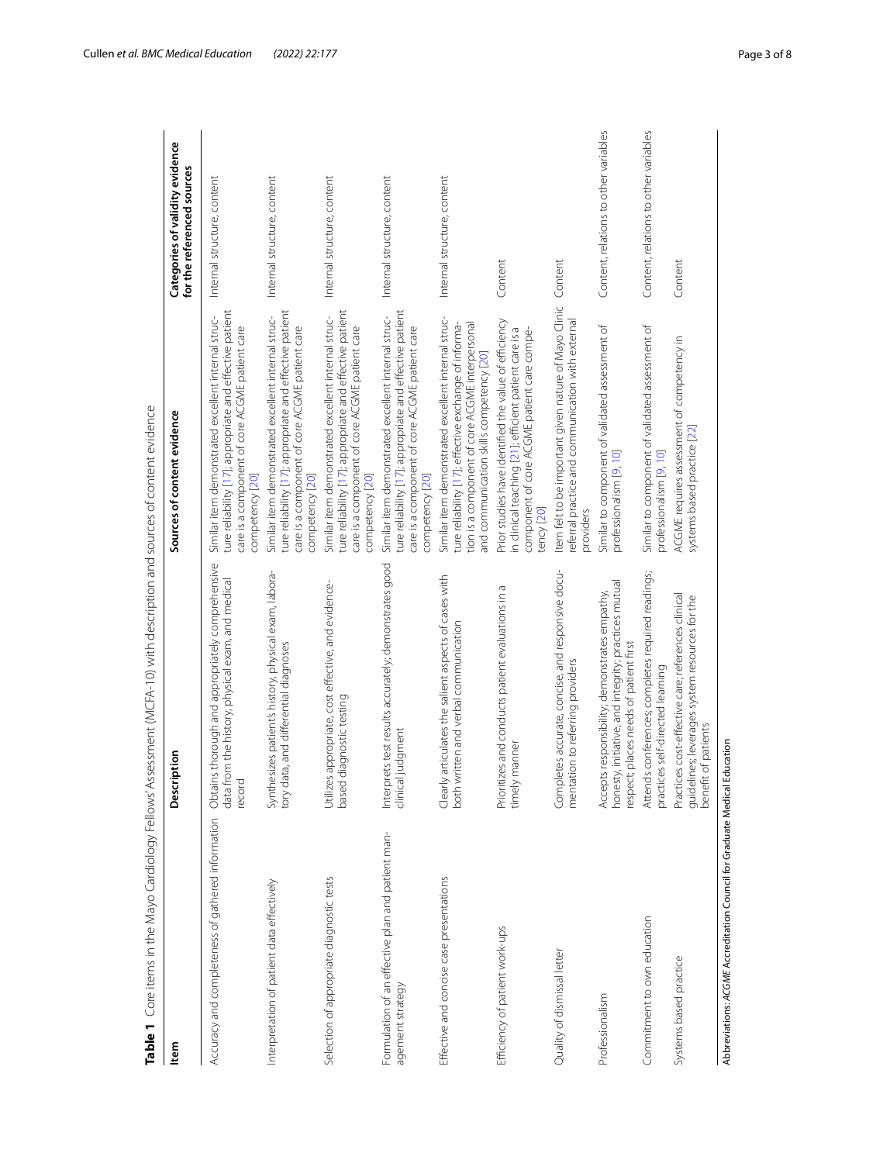| ltem                                                                      | ption<br>Descri                                                                                                                                 | Sources of content evidence                                                                                                                                                                                 | Categories of validity evidence<br>for the referenced sources |
|---------------------------------------------------------------------------|-------------------------------------------------------------------------------------------------------------------------------------------------|-------------------------------------------------------------------------------------------------------------------------------------------------------------------------------------------------------------|---------------------------------------------------------------|
| Accuracy and completeness of gathered information                         | Obtains thorough and appropriately comprehensive<br>data from the history, physical exam, and medical<br>record                                 | ture reliability [17]; appropriate and effective patient<br>Similar item demonstrated excellent internal struc-<br>care is a component of core ACGME patient care<br>competency [20]                        | Internal structure, content                                   |
| Interpretation of patient data effectively                                | Synthesizes patient's history, physical exam, labora-<br>tory data, and differential diagnoses                                                  | ture reliability [17]; appropriate and effective patient<br>Similar item demonstrated excellent internal struc-<br>care is a component of core ACGME patient care<br>competency [20]                        | Internal structure, content                                   |
| Selection of appropriate diagnostic tests                                 | Utilizes appropriate, cost effective, and evidence-<br>diagnostic testing<br>based                                                              | ture reliability [17]; appropriate and effective patient<br>Similar item demonstrated excellent internal struc-<br>care is a component of core ACGME patient care<br>competency [20]                        | Internal structure, content                                   |
| Formulation of an effective plan and patient man-<br>agement strategy     | Interprets test results accurately; demonstrates good<br>clinical judgment                                                                      | ture reliability [17]; appropriate and effective patient<br>Similar item demonstrated excellent internal struc-<br>care is a component of core ACGME patient care<br>competency [20]                        | Internal structure, content                                   |
| Effective and concise case presentations                                  | articulates the salient aspects of cases with<br>Clearly articulates the salient aspects of c<br>both written and verbal communication          | Similar item demonstrated excellent internal struc-<br>tion is a component of core ACGME interpersonal<br>ture reliability [17]; effective exchange of informa-<br>and communication skills competency [20] | Internal structure, content                                   |
| Efficiency of patient work-ups                                            | Prioritizes and conducts patient evaluations in a<br>manner<br>timely                                                                           | Prior studies have identified the value of efficiency<br>in clinical teaching [21]; efficient patient care is a<br>component of core ACGME patient care compe-<br>tency [20]                                | Content                                                       |
| Quality of dismissal letter                                               | Completes accurate, concise, and responsive docu-<br>mentation to referring providers                                                           | Item felt to be important given nature of Mayo Clinic<br>referral practice and communication with external<br>providers                                                                                     | Content                                                       |
| Professionalism                                                           | honesty, initiative, and integrity; practices mutual<br>Accepts responsibility; demonstrates empathy,<br>respect; places needs of patient first | Similar to component of validated assessment of<br>professionalism [9, 10]                                                                                                                                  | Content, relations to other variables                         |
| Commitment to own education                                               | Attends conferences; completes required readings;<br>practices self-directed learning                                                           | Similar to component of validated assessment of<br>professionalism [9, 10]                                                                                                                                  | Content, relations to other variables                         |
| Systems based practice                                                    | Practices cost-effective care; references clinical<br>guidelines; leverages system resources for the<br>benefit of patients<br>t of patients    | ACGME requires assessment of competency in<br>systems based practice [22]                                                                                                                                   | Content                                                       |
| Abbreviations: ACGME Accreditation Council for Graduate Medical Education |                                                                                                                                                 |                                                                                                                                                                                                             |                                                               |

<span id="page-2-0"></span>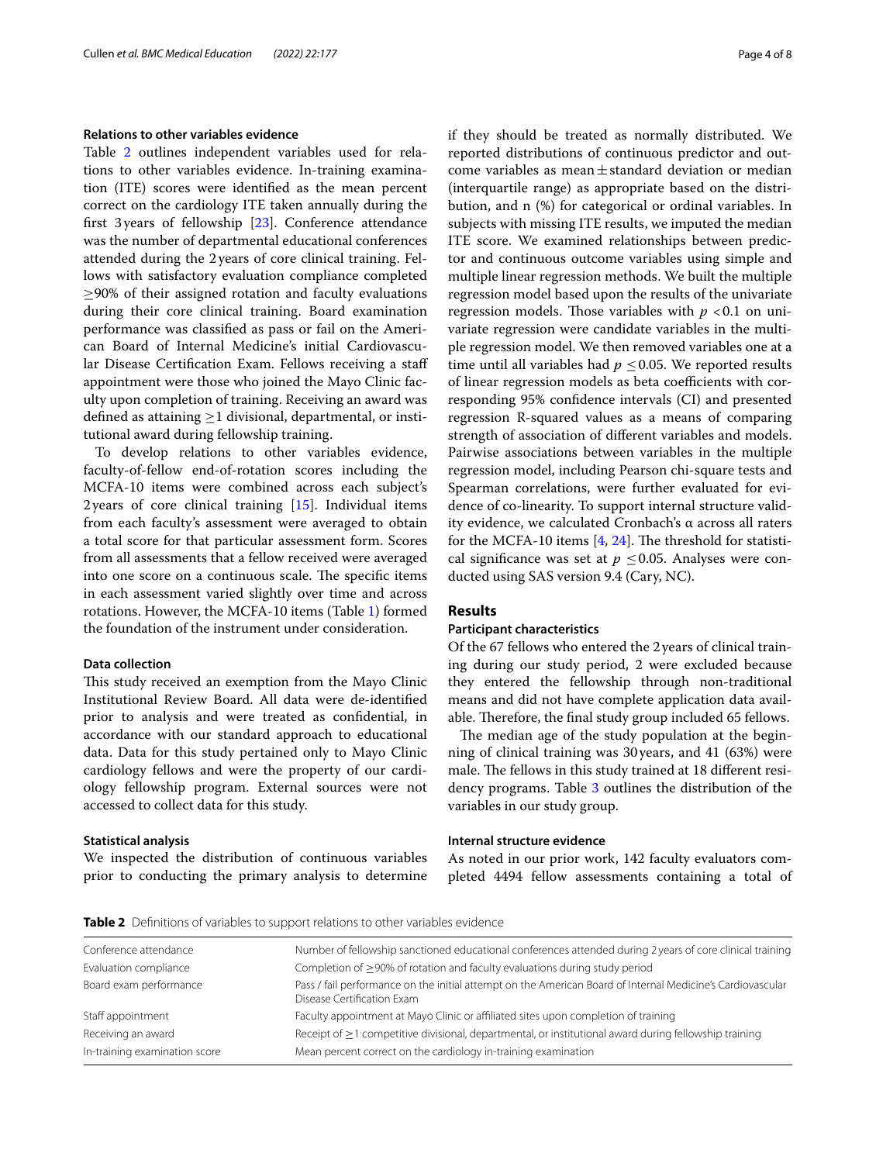## **Relations to other variables evidence**

Table [2](#page-3-0) outlines independent variables used for relations to other variables evidence. In-training examination (ITE) scores were identifed as the mean percent correct on the cardiology ITE taken annually during the frst 3years of fellowship [\[23](#page-7-5)]. Conference attendance was the number of departmental educational conferences attended during the 2years of core clinical training. Fellows with satisfactory evaluation compliance completed ≥90% of their assigned rotation and faculty evaluations during their core clinical training. Board examination performance was classifed as pass or fail on the American Board of Internal Medicine's initial Cardiovascular Disease Certifcation Exam. Fellows receiving a staf appointment were those who joined the Mayo Clinic faculty upon completion of training. Receiving an award was defined as attaining  $\geq$ 1 divisional, departmental, or institutional award during fellowship training.

To develop relations to other variables evidence, faculty-of-fellow end-of-rotation scores including the MCFA-10 items were combined across each subject's 2years of core clinical training [[15\]](#page-6-13). Individual items from each faculty's assessment were averaged to obtain a total score for that particular assessment form. Scores from all assessments that a fellow received were averaged into one score on a continuous scale. The specific items in each assessment varied slightly over time and across rotations. However, the MCFA-10 items (Table [1](#page-2-0)) formed the foundation of the instrument under consideration.

## **Data collection**

This study received an exemption from the Mayo Clinic Institutional Review Board. All data were de-identifed prior to analysis and were treated as confdential, in accordance with our standard approach to educational data. Data for this study pertained only to Mayo Clinic cardiology fellows and were the property of our cardiology fellowship program. External sources were not accessed to collect data for this study.

## **Statistical analysis**

We inspected the distribution of continuous variables prior to conducting the primary analysis to determine if they should be treated as normally distributed. We reported distributions of continuous predictor and outcome variables as mean $\pm$ standard deviation or median (interquartile range) as appropriate based on the distribution, and n (%) for categorical or ordinal variables. In subjects with missing ITE results, we imputed the median ITE score. We examined relationships between predictor and continuous outcome variables using simple and multiple linear regression methods. We built the multiple regression model based upon the results of the univariate regression models. Those variables with  $p < 0.1$  on univariate regression were candidate variables in the multiple regression model. We then removed variables one at a time until all variables had  $p \leq 0.05$ . We reported results of linear regression models as beta coefficients with corresponding 95% confdence intervals (CI) and presented regression R-squared values as a means of comparing strength of association of diferent variables and models. Pairwise associations between variables in the multiple regression model, including Pearson chi-square tests and Spearman correlations, were further evaluated for evidence of co-linearity. To support internal structure validity evidence, we calculated Cronbach's α across all raters for the MCFA-10 items  $[4, 24]$  $[4, 24]$  $[4, 24]$  $[4, 24]$ . The threshold for statistical significance was set at  $p \leq 0.05$ . Analyses were conducted using SAS version 9.4 (Cary, NC).

## **Results**

## **Participant characteristics**

Of the 67 fellows who entered the 2 years of clinical training during our study period, 2 were excluded because they entered the fellowship through non-traditional means and did not have complete application data available. Therefore, the final study group included 65 fellows.

The median age of the study population at the beginning of clinical training was 30years, and 41 (63%) were male. The fellows in this study trained at 18 different residency programs. Table [3](#page-4-0) outlines the distribution of the variables in our study group.

## **Internal structure evidence**

As noted in our prior work, 142 faculty evaluators completed 4494 fellow assessments containing a total of

<span id="page-3-0"></span>**Table 2** Definitions of variables to support relations to other variables evidence

| Number of fellowship sanctioned educational conferences attended during 2 years of core clinical training                                |
|------------------------------------------------------------------------------------------------------------------------------------------|
| Completion of $\geq$ 90% of rotation and faculty evaluations during study period                                                         |
| Pass / fail performance on the initial attempt on the American Board of Internal Medicine's Cardiovascular<br>Disease Certification Exam |
| Faculty appointment at Mayo Clinic or affiliated sites upon completion of training                                                       |
| Receipt of $\geq$ 1 competitive divisional, departmental, or institutional award during fellowship training                              |
| Mean percent correct on the cardiology in-training examination                                                                           |
|                                                                                                                                          |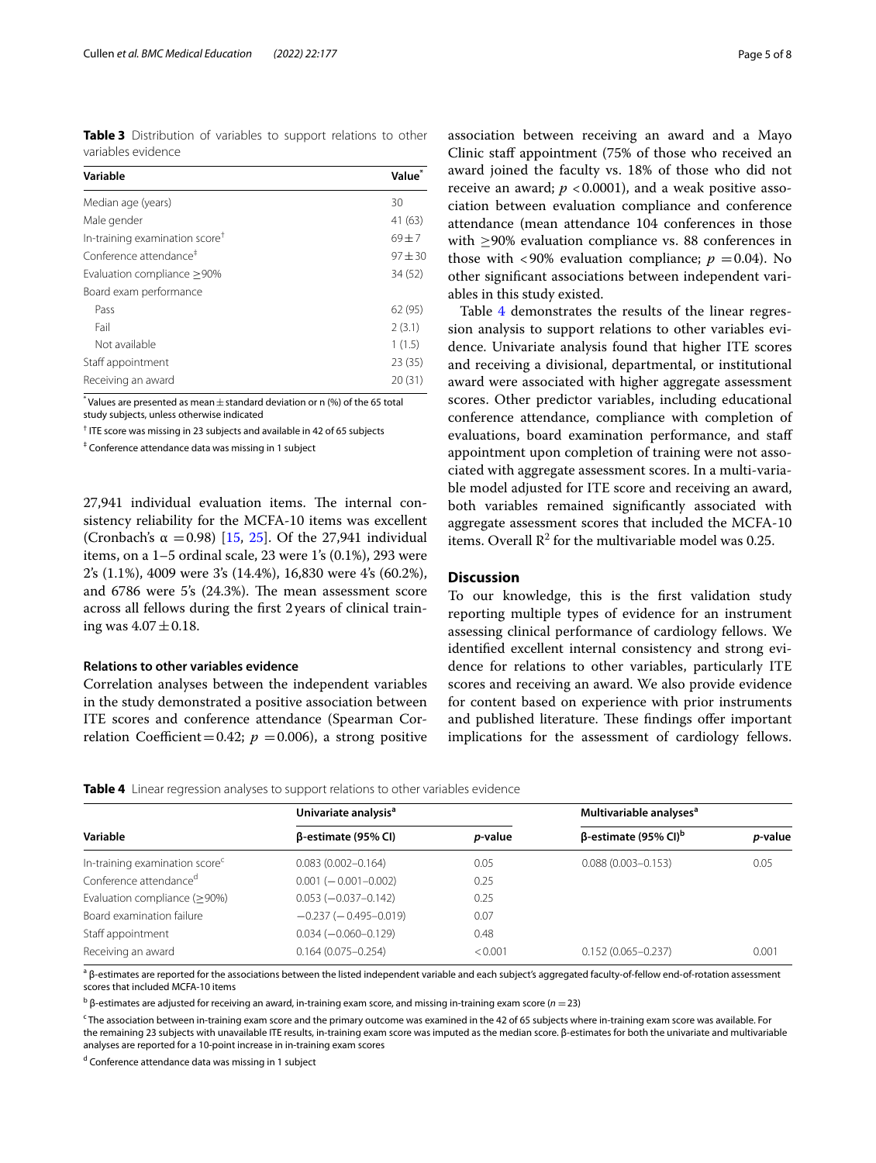<span id="page-4-0"></span>**Table 3** Distribution of variables to support relations to other variables evidence

| Variable                                   | Value <sup>*</sup> |
|--------------------------------------------|--------------------|
| Median age (years)                         | 30                 |
| Male gender                                | 41 (63)            |
| In-training examination score <sup>+</sup> | $69 + 7$           |
| Conference attendance <sup>#</sup>         | $97 + 30$          |
| Evaluation compliance > 90%                | 34 (52)            |
| Board exam performance                     |                    |
| Pass                                       | 62(95)             |
| Fail                                       | 2(3.1)             |
| Not available                              | 1(1.5)             |
| Staff appointment                          | 23(35)             |
| Receiving an award                         | 20(31)             |

 $^*$  Values are presented as mean  $\pm$  standard deviation or n (%) of the 65 total study subjects, unless otherwise indicated

† ITE score was missing in 23 subjects and available in 42 of 65 subjects

‡ Conference attendance data was missing in 1 subject

27,941 individual evaluation items. The internal consistency reliability for the MCFA-10 items was excellent (Cronbach's  $\alpha = 0.98$ ) [[15,](#page-6-13) [25](#page-7-7)]. Of the 27,941 individual items, on a 1–5 ordinal scale, 23 were 1's (0.1%), 293 were 2's (1.1%), 4009 were 3's (14.4%), 16,830 were 4's (60.2%), and 6786 were 5's (24.3%). The mean assessment score across all fellows during the frst 2years of clinical training was  $4.07 \pm 0.18$ .

## **Relations to other variables evidence**

Correlation analyses between the independent variables in the study demonstrated a positive association between ITE scores and conference attendance (Spearman Correlation Coefficient=0.42;  $p = 0.006$ ), a strong positive association between receiving an award and a Mayo Clinic staff appointment (75% of those who received an award joined the faculty vs. 18% of those who did not receive an award;  $p < 0.0001$ ), and a weak positive association between evaluation compliance and conference attendance (mean attendance 104 conferences in those with ≥90% evaluation compliance vs. 88 conferences in those with  $\langle 90\%$  evaluation compliance;  $p = 0.04$ ). No other signifcant associations between independent variables in this study existed.

Table [4](#page-4-1) demonstrates the results of the linear regression analysis to support relations to other variables evidence. Univariate analysis found that higher ITE scores and receiving a divisional, departmental, or institutional award were associated with higher aggregate assessment scores. Other predictor variables, including educational conference attendance, compliance with completion of evaluations, board examination performance, and staf appointment upon completion of training were not associated with aggregate assessment scores. In a multi-variable model adjusted for ITE score and receiving an award, both variables remained signifcantly associated with aggregate assessment scores that included the MCFA-10 items. Overall  $\mathbb{R}^2$  for the multivariable model was 0.25.

## **Discussion**

To our knowledge, this is the frst validation study reporting multiple types of evidence for an instrument assessing clinical performance of cardiology fellows. We identifed excellent internal consistency and strong evidence for relations to other variables, particularly ITE scores and receiving an award. We also provide evidence for content based on experience with prior instruments and published literature. These findings offer important implications for the assessment of cardiology fellows.

<span id="page-4-1"></span>

| <b>Table 4</b> Linear regression analyses to support relations to other variables evidence |  |
|--------------------------------------------------------------------------------------------|--|
|--------------------------------------------------------------------------------------------|--|

|                                            | Univariate analysis <sup>a</sup> |                 | Multivariable analyses <sup>a</sup>     |                 |
|--------------------------------------------|----------------------------------|-----------------|-----------------------------------------|-----------------|
| Variable                                   | $\beta$ -estimate (95% CI)       | <i>p</i> -value | $\beta$ -estimate (95% CI) <sup>b</sup> | <i>p</i> -value |
| In-training examination score <sup>c</sup> | $0.083(0.002 - 0.164)$           | 0.05            | $0.088(0.003 - 0.153)$                  | 0.05            |
| Conference attendance <sup>d</sup>         | $0.001 (-0.001 - 0.002)$         | 0.25            |                                         |                 |
| Evaluation compliance $(≥90%)$             | $0.053 (-0.037 - 0.142)$         | 0.25            |                                         |                 |
| Board examination failure                  | $-0.237(-0.495-0.019)$           | 0.07            |                                         |                 |
| Staff appointment                          | $0.034 (-0.060 - 0.129)$         | 0.48            |                                         |                 |
| Receiving an award                         | $0.164(0.075 - 0.254)$           | < 0.001         | $0.152(0.065 - 0.237)$                  | 0.001           |

a β-estimates are reported for the associations between the listed independent variable and each subject's aggregated faculty-of-fellow end-of-rotation assessment scores that included MCFA-10 items

<sup>b</sup> β-estimates are adjusted for receiving an award, in-training exam score, and missing in-training exam score (*n* = 23)

c The association between in-training exam score and the primary outcome was examined in the 42 of 65 subjects where in-training exam score was available. For the remaining 23 subjects with unavailable ITE results, in-training exam score was imputed as the median score. β-estimates for both the univariate and multivariable analyses are reported for a 10-point increase in in-training exam scores

<sup>d</sup> Conference attendance data was missing in 1 subject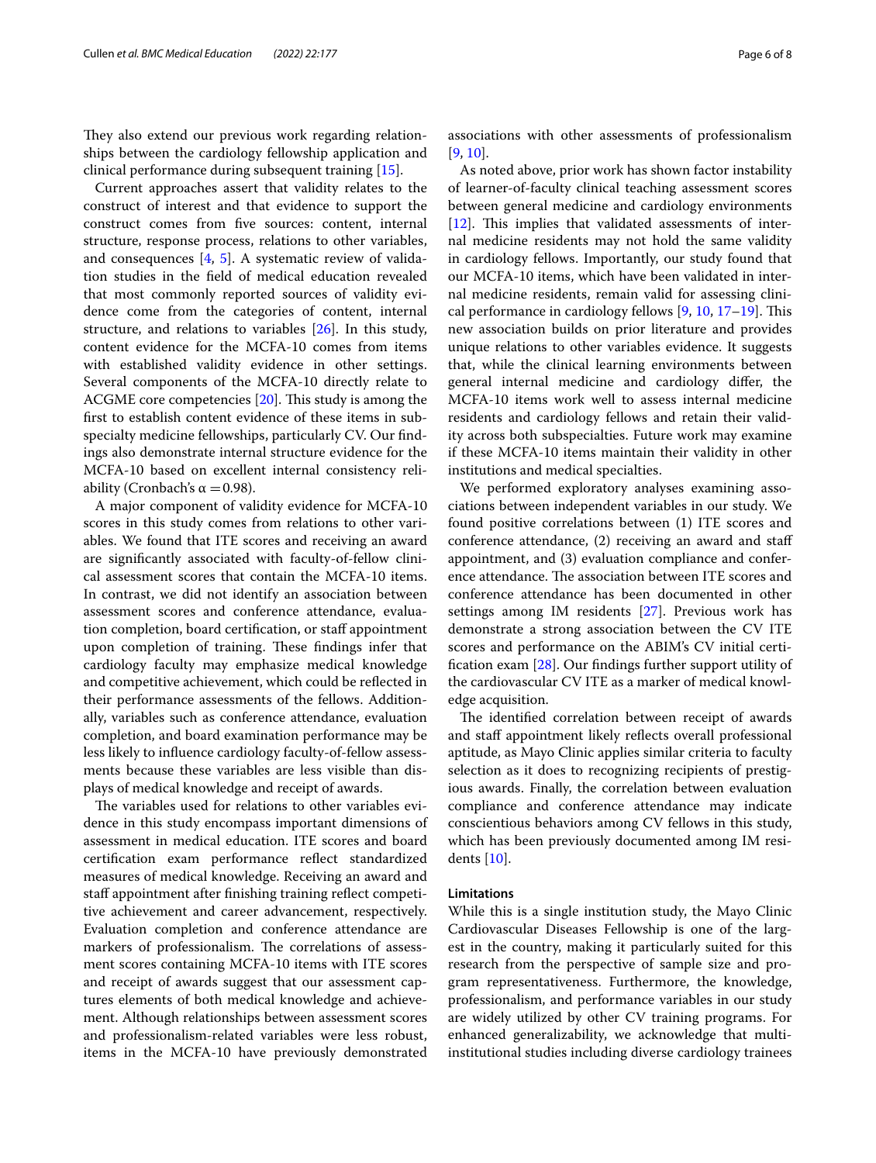They also extend our previous work regarding relationships between the cardiology fellowship application and clinical performance during subsequent training [\[15\]](#page-6-13).

Current approaches assert that validity relates to the construct of interest and that evidence to support the construct comes from fve sources: content, internal structure, response process, relations to other variables, and consequences  $[4, 5]$  $[4, 5]$  $[4, 5]$  $[4, 5]$  $[4, 5]$ . A systematic review of validation studies in the feld of medical education revealed that most commonly reported sources of validity evidence come from the categories of content, internal structure, and relations to variables [\[26](#page-7-8)]. In this study, content evidence for the MCFA-10 comes from items with established validity evidence in other settings. Several components of the MCFA-10 directly relate to ACGME core competencies  $[20]$  $[20]$ . This study is among the frst to establish content evidence of these items in subspecialty medicine fellowships, particularly CV. Our fndings also demonstrate internal structure evidence for the MCFA-10 based on excellent internal consistency reliability (Cronbach's  $\alpha = 0.98$ ).

A major component of validity evidence for MCFA-10 scores in this study comes from relations to other variables. We found that ITE scores and receiving an award are signifcantly associated with faculty-of-fellow clinical assessment scores that contain the MCFA-10 items. In contrast, we did not identify an association between assessment scores and conference attendance, evaluation completion, board certifcation, or staf appointment upon completion of training. These findings infer that cardiology faculty may emphasize medical knowledge and competitive achievement, which could be refected in their performance assessments of the fellows. Additionally, variables such as conference attendance, evaluation completion, and board examination performance may be less likely to infuence cardiology faculty-of-fellow assessments because these variables are less visible than displays of medical knowledge and receipt of awards.

The variables used for relations to other variables evidence in this study encompass important dimensions of assessment in medical education. ITE scores and board certifcation exam performance refect standardized measures of medical knowledge. Receiving an award and staff appointment after finishing training reflect competitive achievement and career advancement, respectively. Evaluation completion and conference attendance are markers of professionalism. The correlations of assessment scores containing MCFA-10 items with ITE scores and receipt of awards suggest that our assessment captures elements of both medical knowledge and achievement. Although relationships between assessment scores and professionalism-related variables were less robust, items in the MCFA-10 have previously demonstrated associations with other assessments of professionalism [[9,](#page-6-8) [10](#page-6-9)].

As noted above, prior work has shown factor instability of learner-of-faculty clinical teaching assessment scores between general medicine and cardiology environments [[12\]](#page-6-11). This implies that validated assessments of internal medicine residents may not hold the same validity in cardiology fellows. Importantly, our study found that our MCFA-10 items, which have been validated in internal medicine residents, remain valid for assessing clini-cal performance in cardiology fellows [[9](#page-6-8), [10,](#page-6-9) 17-[19](#page-7-1)]. This new association builds on prior literature and provides unique relations to other variables evidence. It suggests that, while the clinical learning environments between general internal medicine and cardiology difer, the MCFA-10 items work well to assess internal medicine residents and cardiology fellows and retain their validity across both subspecialties. Future work may examine if these MCFA-10 items maintain their validity in other institutions and medical specialties.

We performed exploratory analyses examining associations between independent variables in our study. We found positive correlations between (1) ITE scores and conference attendance, (2) receiving an award and staf appointment, and (3) evaluation compliance and conference attendance. The association between ITE scores and conference attendance has been documented in other settings among IM residents [[27\]](#page-7-9). Previous work has demonstrate a strong association between the CV ITE scores and performance on the ABIM's CV initial certifcation exam [\[28](#page-7-10)]. Our fndings further support utility of the cardiovascular CV ITE as a marker of medical knowledge acquisition.

The identified correlation between receipt of awards and staff appointment likely reflects overall professional aptitude, as Mayo Clinic applies similar criteria to faculty selection as it does to recognizing recipients of prestigious awards. Finally, the correlation between evaluation compliance and conference attendance may indicate conscientious behaviors among CV fellows in this study, which has been previously documented among IM residents [\[10](#page-6-9)].

#### **Limitations**

While this is a single institution study, the Mayo Clinic Cardiovascular Diseases Fellowship is one of the largest in the country, making it particularly suited for this research from the perspective of sample size and program representativeness. Furthermore, the knowledge, professionalism, and performance variables in our study are widely utilized by other CV training programs. For enhanced generalizability, we acknowledge that multiinstitutional studies including diverse cardiology trainees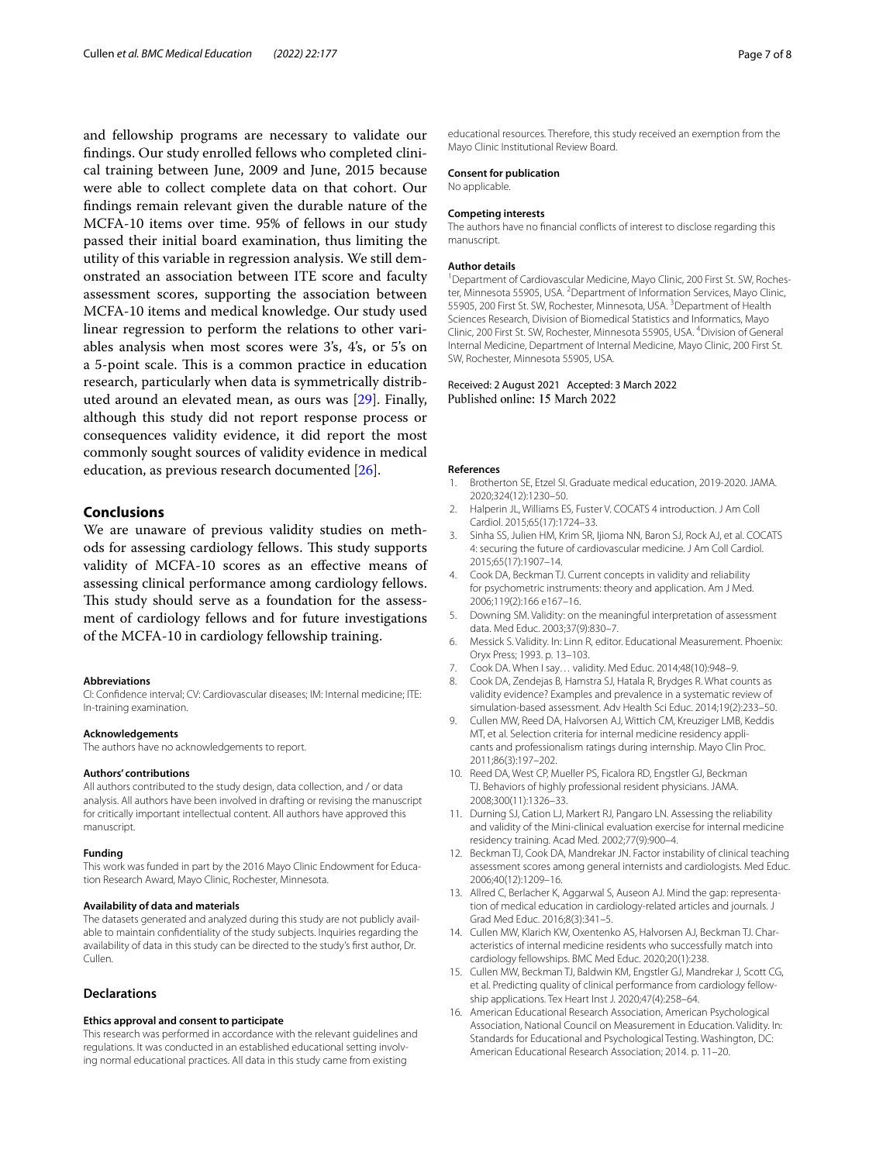and fellowship programs are necessary to validate our fndings. Our study enrolled fellows who completed clinical training between June, 2009 and June, 2015 because were able to collect complete data on that cohort. Our fndings remain relevant given the durable nature of the MCFA-10 items over time. 95% of fellows in our study passed their initial board examination, thus limiting the utility of this variable in regression analysis. We still demonstrated an association between ITE score and faculty assessment scores, supporting the association between MCFA-10 items and medical knowledge. Our study used linear regression to perform the relations to other variables analysis when most scores were 3's, 4's, or 5's on a 5-point scale. This is a common practice in education research, particularly when data is symmetrically distributed around an elevated mean, as ours was [\[29](#page-7-11)]. Finally, although this study did not report response process or consequences validity evidence, it did report the most commonly sought sources of validity evidence in medical education, as previous research documented [[26\]](#page-7-8).

## **Conclusions**

We are unaware of previous validity studies on methods for assessing cardiology fellows. This study supports validity of MCFA-10 scores as an efective means of assessing clinical performance among cardiology fellows. This study should serve as a foundation for the assessment of cardiology fellows and for future investigations of the MCFA-10 in cardiology fellowship training.

#### **Abbreviations**

CI: Confdence interval; CV: Cardiovascular diseases; IM: Internal medicine; ITE: In-training examination.

#### **Acknowledgements**

The authors have no acknowledgements to report.

#### **Authors' contributions**

All authors contributed to the study design, data collection, and / or data analysis. All authors have been involved in drafting or revising the manuscript for critically important intellectual content. All authors have approved this manuscript.

#### **Funding**

This work was funded in part by the 2016 Mayo Clinic Endowment for Education Research Award, Mayo Clinic, Rochester, Minnesota.

#### **Availability of data and materials**

The datasets generated and analyzed during this study are not publicly available to maintain confdentiality of the study subjects. Inquiries regarding the availability of data in this study can be directed to the study's frst author, Dr. Cullen.

## **Declarations**

#### **Ethics approval and consent to participate**

This research was performed in accordance with the relevant guidelines and regulations. It was conducted in an established educational setting involving normal educational practices. All data in this study came from existing

educational resources. Therefore, this study received an exemption from the Mayo Clinic Institutional Review Board.

## **Consent for publication**

No applicable.

#### **Competing interests**

The authors have no fnancial conficts of interest to disclose regarding this manuscript.

#### **Author details**

<sup>1</sup> Department of Cardiovascular Medicine, Mayo Clinic, 200 First St. SW, Rochester, Minnesota 55905, USA. <sup>2</sup> Department of Information Services, Mayo Clinic, 55905, 200 First St. SW, Rochester, Minnesota, USA. <sup>3</sup> Department of Health Sciences Research, Division of Biomedical Statistics and Informatics, Mayo Clinic, 200 First St. SW, Rochester, Minnesota 55905, USA. 4 Division of General Internal Medicine, Department of Internal Medicine, Mayo Clinic, 200 First St. SW, Rochester, Minnesota 55905, USA.

## Received: 2 August 2021 Accepted: 3 March 2022 Published online: 15 March 2022

#### **References**

- <span id="page-6-0"></span>1. Brotherton SE, Etzel SI. Graduate medical education, 2019-2020. JAMA. 2020;324(12):1230–50.
- <span id="page-6-1"></span>2. Halperin JL, Williams ES, Fuster V, COCATS 4 introduction, J Am Coll Cardiol. 2015;65(17):1724–33.
- <span id="page-6-2"></span>3. Sinha SS, Julien HM, Krim SR, Ijioma NN, Baron SJ, Rock AJ, et al. COCATS 4: securing the future of cardiovascular medicine. J Am Coll Cardiol. 2015;65(17):1907–14.
- <span id="page-6-3"></span>4. Cook DA, Beckman TJ. Current concepts in validity and reliability for psychometric instruments: theory and application. Am J Med. 2006;119(2):166 e167–16.
- <span id="page-6-6"></span>5. Downing SM. Validity: on the meaningful interpretation of assessment data. Med Educ. 2003;37(9):830–7.
- <span id="page-6-4"></span>6. Messick S. Validity. In: Linn R, editor. Educational Measurement. Phoenix: Oryx Press; 1993. p. 13–103.
- <span id="page-6-5"></span>7. Cook DA. When I say… validity. Med Educ. 2014;48(10):948–9.
- <span id="page-6-7"></span>8. Cook DA, Zendejas B, Hamstra SJ, Hatala R, Brydges R. What counts as validity evidence? Examples and prevalence in a systematic review of simulation-based assessment. Adv Health Sci Educ. 2014;19(2):233–50.
- <span id="page-6-8"></span>9. Cullen MW, Reed DA, Halvorsen AJ, Wittich CM, Kreuziger LMB, Keddis MT, et al. Selection criteria for internal medicine residency applicants and professionalism ratings during internship. Mayo Clin Proc. 2011;86(3):197–202.
- <span id="page-6-9"></span>10. Reed DA, West CP, Mueller PS, Ficalora RD, Engstler GJ, Beckman TJ. Behaviors of highly professional resident physicians. JAMA. 2008;300(11):1326–33.
- <span id="page-6-10"></span>11. Durning SJ, Cation LJ, Markert RJ, Pangaro LN. Assessing the reliability and validity of the Mini-clinical evaluation exercise for internal medicine residency training. Acad Med. 2002;77(9):900–4.
- <span id="page-6-11"></span>12. Beckman TJ, Cook DA, Mandrekar JN. Factor instability of clinical teaching assessment scores among general internists and cardiologists. Med Educ. 2006;40(12):1209–16.
- <span id="page-6-12"></span>13. Allred C, Berlacher K, Aggarwal S, Auseon AJ. Mind the gap: representation of medical education in cardiology-related articles and journals. J Grad Med Educ. 2016;8(3):341–5.
- 14. Cullen MW, Klarich KW, Oxentenko AS, Halvorsen AJ, Beckman TJ. Characteristics of internal medicine residents who successfully match into cardiology fellowships. BMC Med Educ. 2020;20(1):238.
- <span id="page-6-13"></span>15. Cullen MW, Beckman TJ, Baldwin KM, Engstler GJ, Mandrekar J, Scott CG, et al. Predicting quality of clinical performance from cardiology fellowship applications. Tex Heart Inst J. 2020;47(4):258–64.
- <span id="page-6-14"></span>16. American Educational Research Association, American Psychological Association, National Council on Measurement in Education. Validity. In: Standards for Educational and Psychological Testing. Washington, DC: American Educational Research Association; 2014. p. 11–20.